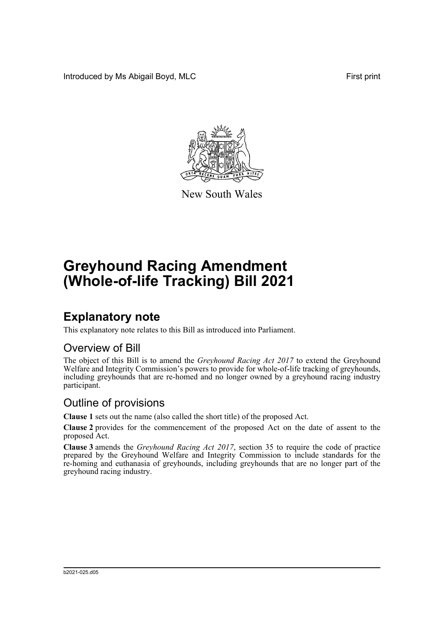Introduced by Ms Abigail Boyd, MLC **First print** 



New South Wales

# **Greyhound Racing Amendment (Whole-of-life Tracking) Bill 2021**

## **Explanatory note**

This explanatory note relates to this Bill as introduced into Parliament.

#### Overview of Bill

The object of this Bill is to amend the *Greyhound Racing Act 2017* to extend the Greyhound Welfare and Integrity Commission's powers to provide for whole-of-life tracking of greyhounds, including greyhounds that are re-homed and no longer owned by a greyhound racing industry participant.

#### Outline of provisions

**Clause 1** sets out the name (also called the short title) of the proposed Act.

**Clause 2** provides for the commencement of the proposed Act on the date of assent to the proposed Act.

**Clause 3** amends the *Greyhound Racing Act 2017*, section 35 to require the code of practice prepared by the Greyhound Welfare and Integrity Commission to include standards for the re-homing and euthanasia of greyhounds, including greyhounds that are no longer part of the greyhound racing industry.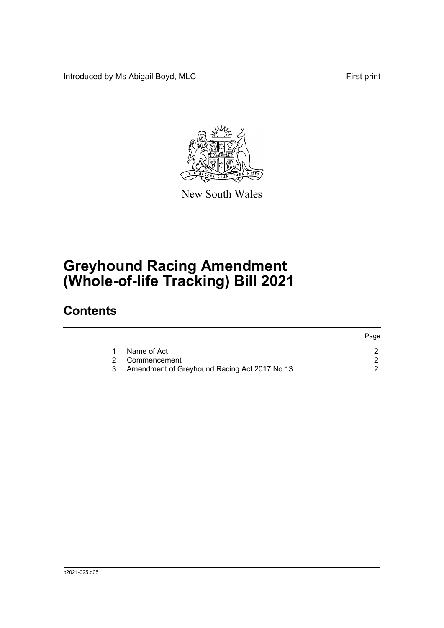Introduced by Ms Abigail Boyd, MLC **First print** 



New South Wales

# **Greyhound Racing Amendment (Whole-of-life Tracking) Bill 2021**

### **Contents**

|   |                                              | Page |
|---|----------------------------------------------|------|
|   | Name of Act                                  |      |
|   | 2 Commencement                               |      |
| 3 | Amendment of Greyhound Racing Act 2017 No 13 |      |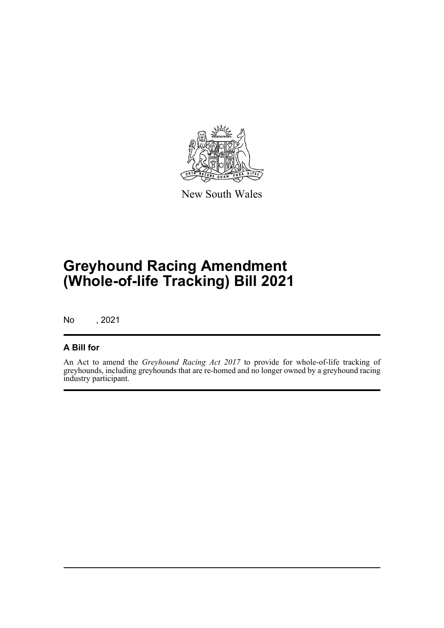

New South Wales

# **Greyhound Racing Amendment (Whole-of-life Tracking) Bill 2021**

No , 2021

#### **A Bill for**

An Act to amend the *Greyhound Racing Act 2017* to provide for whole-of-life tracking of greyhounds, including greyhounds that are re-homed and no longer owned by a greyhound racing industry participant.